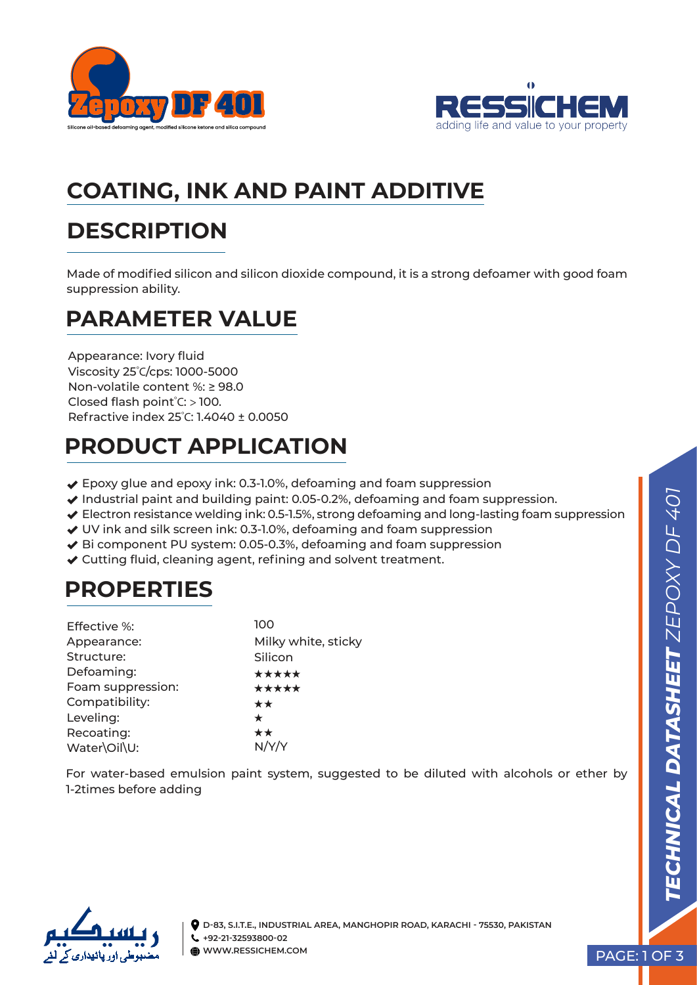



# **COATING, INK AND PAINT ADDITIVE**

## **DESCRIPTION**

Made of modified silicon and silicon dioxide compound, it is a strong defoamer with good foam suppression ability.

### **PARAMETER VALUE**

Appearance: Ivory fluid Viscosity 25º C/cps: 1000-5000 Non-volatile content %: ≥ 98.0 Closed flash point<sup>º</sup> C: > 100. Refractive index 25<sup>º</sup> C: 1.4040 ± 0.0050

# **PRODUCT APPLICATION**

- ◆ Epoxy glue and epoxy ink: 0.3-1.0%, defoaming and foam suppression
- $\blacktriangleright$  Industrial paint and building paint: 0.05-0.2%, defoaming and foam suppression.
- ◆ Electron resistance welding ink: 0.5-1.5%, strong defoaming and long-lasting foam suppression
- UV ink and silk screen ink: 0.3-1.0%, defoaming and foam suppression
- ◆ Bi component PU system: 0.05-0.3%, defoaming and foam suppression
- Cutting fluid, cleaning agent, refining and solvent treatment.

# **PROPERTIES**

| <b>Effective %:</b> | 100                 |
|---------------------|---------------------|
| Appearance:         | Milky white, sticky |
| Structure:          | Silicon             |
| Defoaming:          | *****               |
| Foam suppression:   | *****               |
| Compatibility:      | **                  |
| Leveling:           | $\star$             |
| Recoating:          | **                  |
| Water\Oil\U:        |                     |

For water-based emulsion paint system, suggested to be diluted with alcohols or ether by 1-2times before adding

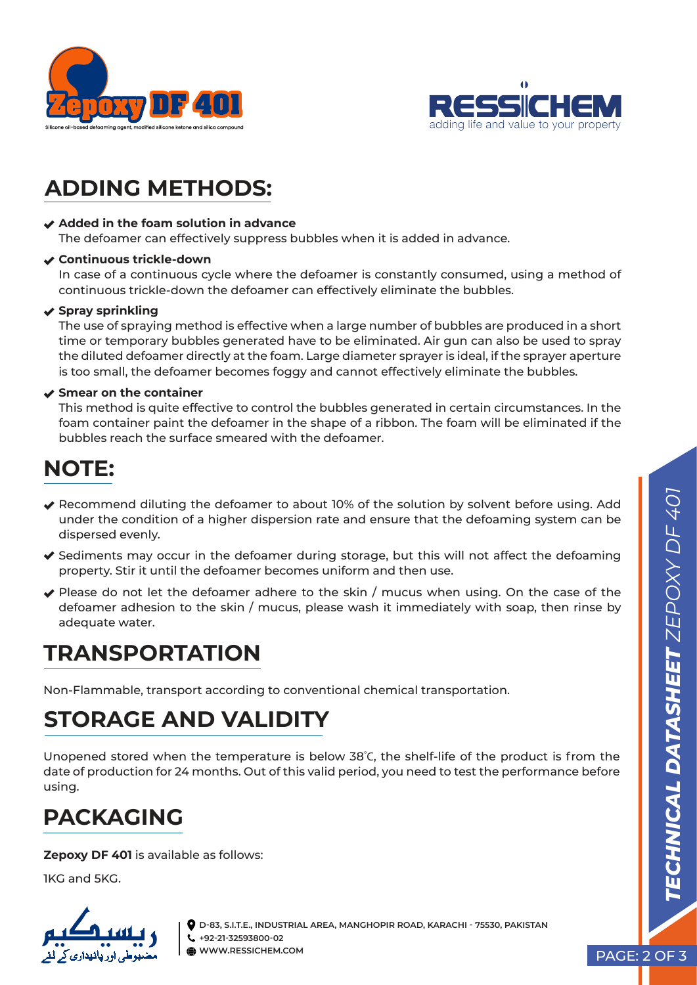



## **ADDING METHODS:**

#### **Added in the foam solution in advance**

The defoamer can effectively suppress bubbles when it is added in advance.

#### **Continuous trickle-down**

In case of a continuous cycle where the defoamer is constantly consumed, using a method of continuous trickle-down the defoamer can effectively eliminate the bubbles.

#### **◆ Spray sprinkling**

The use of spraying method is effective when a large number of bubbles are produced in a short time or temporary bubbles generated have to be eliminated. Air gun can also be used to spray the diluted defoamer directly at the foam. Large diameter sprayer is ideal, if the sprayer aperture is too small, the defoamer becomes foggy and cannot effectively eliminate the bubbles.

#### **Smear on the container**

This method is quite effective to control the bubbles generated in certain circumstances. In the foam container paint the defoamer in the shape of a ribbon. The foam will be eliminated if the bubbles reach the surface smeared with the defoamer.

### **NOTE:**

- Recommend diluting the defoamer to about 10% of the solution by solvent before using. Add under the condition of a higher dispersion rate and ensure that the defoaming system can be dispersed evenly.
- $\blacktriangledown$  Sediments may occur in the defoamer during storage, but this will not affect the defoaming property. Stir it until the defoamer becomes uniform and then use.
- $\blacktriangledown$  Please do not let the defoamer adhere to the skin / mucus when using. On the case of the defoamer adhesion to the skin / mucus, please wash it immediately with soap, then rinse by adequate water.

### **TRANSPORTATION**

Non-Flammable, transport according to conventional chemical transportation.

## **STORAGE AND VALIDITY**

Unopened stored when the temperature is below 38<sup>º</sup> C, the shelf-life of the product is from the date of production for 24 months. Out of this valid period, you need to test the performance before using.

## **PACKAGING**

**Zepoxy DF 401** is available as follows:

1KG and 5KG.



**D-83, S.I.T.E., INDUSTRIAL AREA, MANGHOPIR ROAD, KARACHI - 75530, PAKISTAN +92-21-32593800-02 WWW.RESSICHEM.COM**

PAGE: 2 OF 3